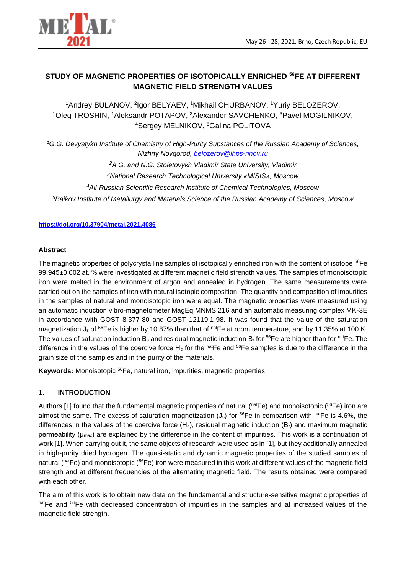

# **STUDY OF MAGNETIC PROPERTIES OF ISOTOPICALLY ENRICHED <sup>56</sup>FE AT DIFFERENT MAGNETIC FIELD STRENGTH VALUES**

<sup>1</sup>Andrey BULANOV, <sup>2</sup>lgor BELYAEV, <sup>1</sup>Mikhail CHURBANOV, <sup>1</sup>Yuriy BELOZEROV, <sup>1</sup>Oleg TROSHIN, <sup>1</sup>Aleksandr POTAPOV, <sup>3</sup>Alexander SAVCHENKO, <sup>3</sup>Pavel MOGILNIKOV, <sup>4</sup>Sergey MELNIKOV, <sup>5</sup>Galina POLITOVA

*<sup>1</sup>G.G. Devyatykh Institute of Chemistry of High-Purity Substances of the Russian Academy of Sciences, Nizhny Novgorod, belozerov@ihps-nnov.ru*

*<sup>2</sup>A.G. and N.G. Stoletovykh Vladimir State University, Vladimir*

*<sup>3</sup>National Research Technological University «MISIS», Moscow*

*<sup>4</sup>All-Russian Scientific Research Institute of Chemical Technologies, Moscow*

*<sup>5</sup>Baikov Institute of Metallurgy and Materials Science of the Russian Academy of Sciences, Moscow*

#### **<https://doi.org/10.37904/metal.2021.4086>**

#### **Abstract**

The magnetic properties of polycrystalline samples of isotopically enriched iron with the content of isotope <sup>56</sup>Fe 99.945±0.002 at. % were investigated at different magnetic field strength values. The samples of monoisotopic iron were melted in the environment of argon and annealed in hydrogen. The same measurements were carried out on the samples of iron with natural isotopic composition. The quantity and composition of impurities in the samples of natural and monoisotopic iron were equal. The magnetic properties were measured using an automatic induction vibro-magnetometer MagEq MNMS 216 and an automatic measuring complex MK-3E in accordance with GOST 8.377-80 and GOST 12119.1-98. It was found that the value of the saturation magnetization  $J_s$  of <sup>56</sup>Fe is higher by 10.87% than that of <sup>nat</sup>Fe at room temperature, and by 11.35% at 100 K. The values of saturation induction  $B_s$  and residual magnetic induction  $B_r$  for <sup>56</sup>Fe are higher than for <sup>nat</sup>Fe. The difference in the values of the coercive force  $H_c$  for the native and  $^{56}$ Fe samples is due to the difference in the grain size of the samples and in the purity of the materials.

**Keywords:** Monoisotopic <sup>56</sup>Fe, natural iron, impurities, magnetic properties

## **1. INTRODUCTION**

Authors [1] found that the fundamental magnetic properties of natural (natFe) and monoisotopic (56Fe) iron are almost the same. The excess of saturation magnetization  $(J_s)$  for <sup>56</sup>Fe in comparison with <sup>nat</sup>Fe is 4.6%, the differences in the values of the coercive force  $(H_c)$ , residual magnetic induction  $(B_r)$  and maximum magnetic permeability ( $\mu_{\text{max}}$ ) are explained by the difference in the content of impurities. This work is a continuation of work [1]. When carrying out it, the same objects of research were used as in [1], but they additionally annealed in high-purity dried hydrogen. The quasi-static and dynamic magnetic properties of the studied samples of natural (natFe) and monoisotopic (<sup>56</sup>Fe) iron were measured in this work at different values of the magnetic field strength and at different frequencies of the alternating magnetic field. The results obtained were compared with each other.

The aim of this work is to obtain new data on the fundamental and structure-sensitive magnetic properties of natFe and <sup>56</sup>Fe with decreased concentration of impurities in the samples and at increased values of the magnetic field strength.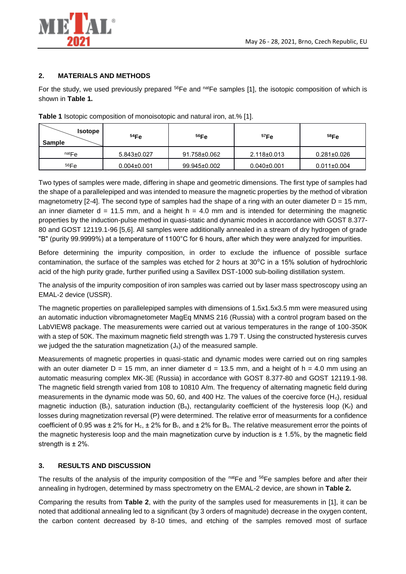

## **2. MATERIALS AND METHODS**

For the study, we used previously prepared  $^{56}Fe$  and  $^{nat}Fe$  samples [1], the isotopic composition of which is shown in **Table 1.**

| <b>Isotope</b><br><b>Sample</b> | 54Fe              | 56Fe         | 57Fe              | 58Fe              |
|---------------------------------|-------------------|--------------|-------------------|-------------------|
| natFe                           | $5.843 \pm 0.027$ | 91.758±0.062 | $2.118 \pm 0.013$ | $0.281 \pm 0.026$ |
| 56Fe                            | $0.004 \pm 0.001$ | 99.945±0.002 | $0.040 \pm 0.001$ | $0.011 \pm 0.004$ |

**Table 1** Isotopic composition of monoisotopic and natural iron, at.% [1].

Two types of samples were made, differing in shape and geometric dimensions. The first type of samples had the shape of a parallelepiped and was intended to measure the magnetic properties by the method of vibration magnetometry [2-4]. The second type of samples had the shape of a ring with an outer diameter  $D = 15$  mm, an inner diameter  $d = 11.5$  mm, and a height  $h = 4.0$  mm and is intended for determining the magnetic properties by the induction-pulse method in quasi-static and dynamic modes in accordance with GOST 8.377- 80 and GOST 12119.1-96 [5,6]. All samples were additionally annealed in a stream of dry hydrogen of grade "B" (purity 99.9999%) at a temperature of 1100°C for 6 hours, after which they were analyzed for impurities.

Before determining the impurity composition, in order to exclude the influence of possible surface contamination, the surface of the samples was etched for 2 hours at  $30^{\circ}$ C in a 15% solution of hydrochloric acid of the high purity grade, further purified using a Savillex DST-1000 sub-boiling distillation system.

The analysis of the impurity composition of iron samples was carried out by laser mass spectroscopy using an EMAL-2 device (USSR).

The magnetic properties on parallelepiped samples with dimensions of 1.5x1.5x3.5 mm were measured using an automatic induction vibromagnetometer MagEq MNMS 216 (Russia) with a control program based on the LabVIEW8 package. The measurements were carried out at various temperatures in the range of 100-350K with a step of 50K. The maximum magnetic field strength was 1.79 T. Using the constructed hysteresis curves we judged the the saturation magnetization (J<sub>s</sub>) of the measured sample.

Measurements of magnetic properties in quasi-static and dynamic modes were carried out on ring samples with an outer diameter  $D = 15$  mm, an inner diameter  $d = 13.5$  mm, and a height of  $h = 4.0$  mm using an automatic measuring complex MK-3E (Russia) in accordance with GOST 8.377-80 and GOST 12119.1-98. The magnetic field strength varied from 108 to 10810 A/m. The frequency of alternating magnetic field during measurements in the dynamic mode was 50, 60, and 400 Hz. The values of the coercive force  $(H_c)$ , residual magnetic induction  $(B_r)$ , saturation induction  $(B_s)$ , rectangularity coefficient of the hysteresis loop  $(K_r)$  and losses during magnetization reversal (P) were determined. The relative error of measurments for a confidence coefficient of 0.95 was  $\pm 2\%$  for H<sub>c</sub>,  $\pm 2\%$  for B<sub>r</sub>, and  $\pm 2\%$  for B<sub>s</sub>. The relative measurement error the points of the magnetic hysteresis loop and the main magnetization curve by induction is  $\pm$  1.5%, by the magnetic field strength is  $\pm$  2%.

## **3. RESULTS AND DISCUSSION**

The results of the analysis of the impurity composition of the natFe and <sup>56</sup>Fe samples before and after their annealing in hydrogen, determined by mass spectrometry on the EMAL-2 device, are shown in **Table 2.**

Comparing the results from **Table 2**, with the purity of the samples used for measurements in [1], it can be noted that additional annealing led to a significant (by 3 orders of magnitude) decrease in the oxygen content, the carbon content decreased by 8-10 times, and etching of the samples removed most of surface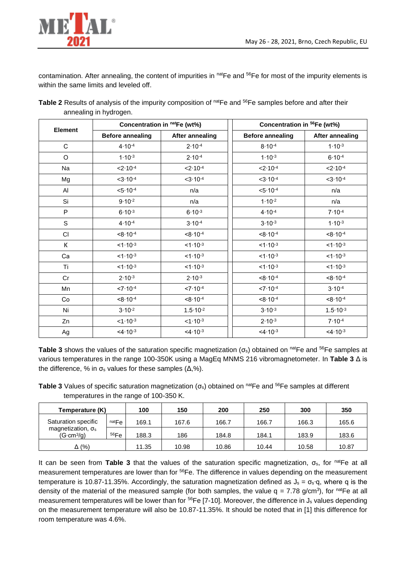

contamination. After annealing, the content of impurities in natFe and <sup>56</sup>Fe for most of the impurity elements is within the same limits and leveled off.

|                        | Table 2 Results of analysis of the impurity composition of natFe and <sup>56</sup> Fe samples before and after their |
|------------------------|----------------------------------------------------------------------------------------------------------------------|
| annealing in hydrogen. |                                                                                                                      |

| <b>Element</b> | Concentration in natFe (wt%)               |                        | Concentration in <sup>56</sup> Fe (wt%) |                     |  |
|----------------|--------------------------------------------|------------------------|-----------------------------------------|---------------------|--|
|                | <b>Before annealing</b><br>After annealing |                        | <b>Before annealing</b>                 | After annealing     |  |
| $\mathbf C$    | $4.10 - 4$                                 | $2.10 - 4$             | $8.10 - 4$                              | $1.10 - 3$          |  |
| $\mathsf O$    | $1.10^{-3}$                                | $2.10 - 4$             | $1.10 - 3$                              | $6.10 - 4$          |  |
| Na             | $< 2.10^{-4}$                              | $< 2.10^{-4}$          | $< 2.10^{-4}$                           | $< 2.10^{-4}$       |  |
| Mg             | $<3.10^{-4}$                               | $<3.10^{-4}$           | $<3.10-4$                               | $<3.10^{-4}$        |  |
| Al             | $< 5.10^{-4}$                              | n/a                    | $< 5.10^{-4}$                           | n/a                 |  |
| Si             | $9.10^{-2}$                                | n/a                    | $1.10 - 2$                              | n/a                 |  |
| P              | $6.10 - 3$                                 | $6.10 - 3$             | $4.10 - 4$                              | $7.10 - 4$          |  |
| S              | $4.10 - 4$                                 | $3.10 - 4$             | $3.10^{-3}$                             | $1.10^{-3}$         |  |
| CI             | $< 8.10^{-4}$                              | $< 8.10^{-4}$          | $< 8.10^{-4}$                           | $8.10^{-4}$         |  |
| К              | $<1.10-3$                                  | $<1.10-3$              | $<1.10-3$                               | $<1.10-3$           |  |
| Ca             | $1.10^{-3}$                                | $<1.10-3$              | $<1.10-3$                               | $<1.10-3$           |  |
| Ti             | $1.10^{-3}$                                | $<1.10-3$              | $<1.10-3$                               | $1.10^{-3}$         |  |
| Cr             | $2.10^{-3}$                                | $2.10^{-3}$            | $< 8.10^{-4}$                           | $8.10^{-4}$         |  |
| Mn             | $< 7.10^{-4}$                              | $< 7.10^{-4}$          | $<7.10-4$                               | $3.10 - 4$          |  |
| Co             | $8.10^{-4}$                                | $< 8.10^{-4}$          | $< 8.10^{-4}$                           | $8.10 - 4$          |  |
| Ni             | $3.10^{-2}$                                | $1.5 \cdot 10^{-2}$    | $3.10^{-3}$                             | $1.5 \cdot 10^{-3}$ |  |
| Zn             | $<1.10-3$                                  | $<1.10-3$              | $2.10 - 3$                              | $7.10 - 4$          |  |
| Ag             | $4.10^{-3}$                                | $<$ 4.10 <sup>-3</sup> | $<4.10-3$                               | $<4.10-3$           |  |

**Table 3** shows the values of the saturation specific magnetization (σs) obtained on natFe and <sup>56</sup>Fe samples at various temperatures in the range 100-350K using a MagEq MNMS 216 vibromagnetometer. In **Table 3** Δ is the difference, % in  $\sigma_s$  values for these samples ( $\Delta$ ,%).

**Table 3** Values of specific saturation magnetization (σ<sub>s</sub>) obtained on <sup>nat</sup>Fe and <sup>56</sup>Fe samples at different temperatures in the range of 100-350 K.

| Temperature (K)                                 |       | 100   | 150   | 200   | 250   | 300   | 350   |
|-------------------------------------------------|-------|-------|-------|-------|-------|-------|-------|
| Saturation specific                             | natFe | 169.1 | 167.6 | 166.7 | 166.7 | 166.3 | 165.6 |
| magnetization, $\sigma_s$<br>$(G \cdot cm^3/g)$ | 56Fe  | 188.3 | 186   | 184.8 | 184.1 | 183.9 | 183.6 |
| Δ (%)                                           |       | 11.35 | 10.98 | 10.86 | 10.44 | 10.58 | 10.87 |

It can be seen from **Table 3** that the values of the saturation specific magnetization,  $\sigma_s$ , for native at all measurement temperatures are lower than for <sup>56</sup>Fe. The difference in values depending on the measurement temperature is 10.87-11.35%. Accordingly, the saturation magnetization defined as  $J_s = \sigma_s$ <sup>-</sup>q, where q is the density of the material of the measured sample (for both samples, the value  $q = 7.78$  g/cm<sup>3</sup>), for <sup>nat</sup>Fe at all measurement temperatures will be lower than for <sup>56</sup>Fe [7-10]. Moreover, the difference in J<sub>s</sub> values depending on the measurement temperature will also be 10.87-11.35%. It should be noted that in [1] this difference for room temperature was 4.6%.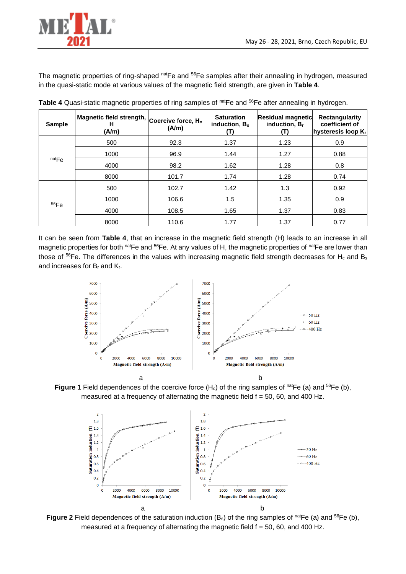

The magnetic properties of ring-shaped natFe and <sup>56</sup>Fe samples after their annealing in hydrogen, measured in the quasi-static mode at various values of the magnetic field strength, are given in **Table 4**.

| <b>Sample</b> | Magnetic field strength,<br>н<br>(A/m) | Coercive force, H <sub>c</sub><br>(A/m) | <b>Saturation</b><br>induction, $B_s$ | <b>Residual magnetic</b><br>induction, B <sub>r</sub><br>T) | <b>Rectangularity</b><br>coefficient of<br>hysteresis loop Kr |
|---------------|----------------------------------------|-----------------------------------------|---------------------------------------|-------------------------------------------------------------|---------------------------------------------------------------|
| natFe         | 500                                    | 92.3                                    | 1.37                                  | 1.23                                                        | 0.9                                                           |
|               | 1000                                   | 96.9                                    | 1.44                                  | 1.27                                                        | 0.88                                                          |
|               | 4000                                   | 98.2                                    | 1.62                                  | 1.28                                                        | 0.8                                                           |
|               | 8000                                   | 101.7                                   | 1.74                                  | 1.28                                                        | 0.74                                                          |
| 56Fe          | 500                                    | 102.7                                   | 1.42                                  | 1.3                                                         | 0.92                                                          |
|               | 1000                                   | 106.6                                   | 1.5                                   | 1.35                                                        | 0.9                                                           |
|               | 4000                                   | 108.5                                   | 1.65                                  | 1.37                                                        | 0.83                                                          |
|               | 8000                                   | 110.6                                   | 1.77                                  | 1.37                                                        | 0.77                                                          |

Table 4 Quasi-static magnetic properties of ring samples of natFe and <sup>56</sup>Fe after annealing in hydrogen.

It can be seen from **Table 4**, that an increase in the magnetic field strength (H) leads to an increase in all magnetic properties for both natFe and <sup>56</sup>Fe. At any values of H, the magnetic properties of natFe are lower than those of  $56$ Fe. The differences in the values with increasing magnetic field strength decreases for H $_c$  and Bs and increases for B<sup>r</sup> and Kr.



**Figure 1** Field dependences of the coercive force  $(H_c)$  of the ring samples of natFe (a) and <sup>56</sup>Fe (b), measured at a frequency of alternating the magnetic field  $f = 50$ , 60, and 400 Hz.



Figure 2 Field dependences of the saturation induction (B<sub>s</sub>) of the ring samples of <sup>nat</sup>Fe (a) and <sup>56</sup>Fe (b), measured at a frequency of alternating the magnetic field  $f = 50$ , 60, and 400 Hz.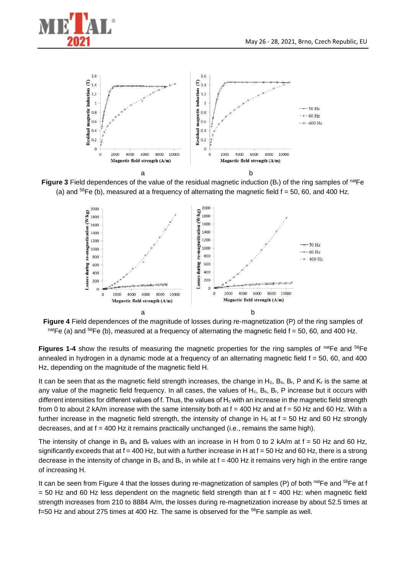









**Figures 1-4** show the results of measuring the magnetic properties for the ring samples of natFe and <sup>56</sup>Fe annealed in hydrogen in a dynamic mode at a frequency of an alternating magnetic field  $f = 50$ , 60, and 400 Hz, depending on the magnitude of the magnetic field H.

It can be seen that as the magnetic field strength increases, the change in H<sub>c</sub>, B<sub>s</sub>, B<sub>r</sub>, P and K<sub>r</sub> is the same at any value of the magnetic field frequency. In all cases, the values of  $H_c$ ,  $B_s$ ,  $B_r$ , P increase but it occurs with different intensities for different values of f. Thus, the values of  $H<sub>c</sub>$  with an increase in the magnetic field strength from 0 to about 2 kA/m increase with the same intensity both at  $f = 400$  Hz and at  $f = 50$  Hz and 60 Hz. With a further increase in the magnetic field strength, the intensity of change in  $H_c$  at  $f = 50$  Hz and 60 Hz strongly decreases, and at  $f = 400$  Hz it remains practically unchanged (i.e., remains the same high).

The intensity of change in B<sub>s</sub> and B<sub>r</sub> values with an increase in H from 0 to 2 kA/m at  $f = 50$  Hz and 60 Hz, significantly exceeds that at  $f = 400$  Hz, but with a further increase in H at  $f = 50$  Hz and 60 Hz, there is a strong decrease in the intensity of change in  $B_s$  and  $B_r$ , in while at f = 400 Hz it remains very high in the entire range of increasing H.

It can be seen from Figure 4 that the losses during re-magnetization of samples (P) of both natFe and  $^{56}Fe$  at f  $=$  50 Hz and 60 Hz less dependent on the magnetic field strength than at  $f = 400$  Hz: when magnetic field strength increases from 210 to 8884 A/m, the losses during re-magnetization increase by about 52.5 times at  $f=50$  Hz and about 275 times at 400 Hz. The same is observed for the  $^{56}$ Fe sample as well.